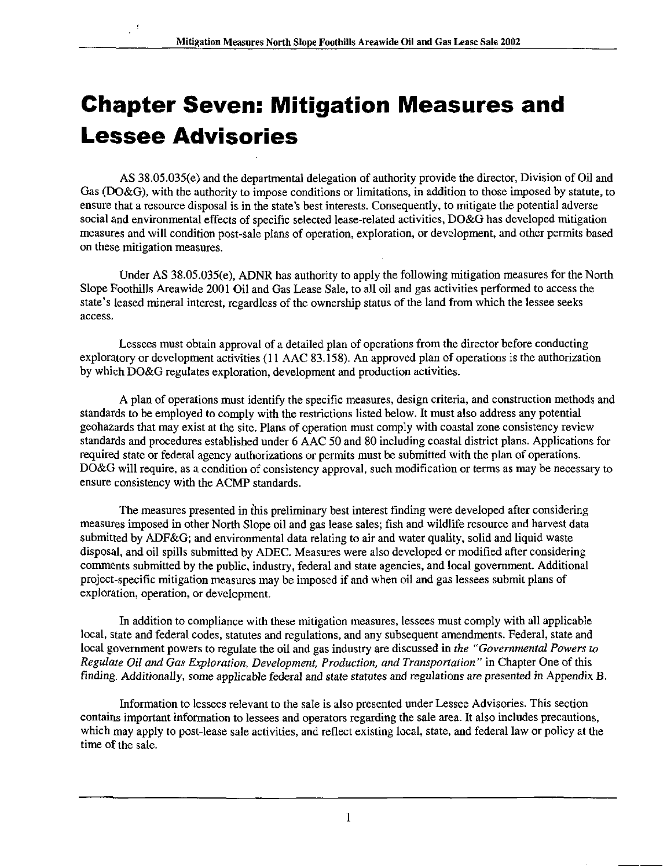# Chapter Seven: Mitigation Measures and Lessee Advisories

AS 38.05.035(e) and the departmental delegation of authority provide the director. Division of Oil and Gas (DO&G), with the authority to impose conditions or limitations, in addition to those imposed by statute, to ensure that a resource disposal is in the state's best interests. Consequently, to mitigate the potential adverse social and environmental effects of specific selected lease-related activities, DO&G has developed mitigation measures and will condition post-sale plans of operation, exploration, or development, and other permits based on these mitigation measures.

Under AS 38.05.035(e), ADNR has authority to apply the following mitigation measures for the North Slope Foothills Areawide 2001 Oil and Gas Lease Sale, to all oil and gas activities performed to access the state's leased mineral interest, regardless of the ownership status of the land from which the lessee seeks access.

Lessees must obtain approval of a detailed plan of operations from the director before conducting exploratory or development activities (11 AAC 83.158). An approved plan of operations is the authorization by which DO&G regulates exploration, development and production activities.

A plan of operations must identify the specific measures, design criteria, and construction methods and standards to be employed to comply with the restrictions listed below. It must also address any potential geohazards that may exist at the site. Plans of operation must comply with coastal zone consistency review standards and procedures established under 6 AAC 50 and 80 including coastal district plans. Applications for required state or federal agency authorizations or permits must be submitted with the plan of operations. DO&G will require, as a condition of consistency approval, such modification or terms as may be necessary to ensure consistency with the ACMP standards.

The measures presented in this preliminary best interest finding were developed after considering measures imposed in other North Slope oil and gas lease sales; fish and wildlife resource and harvest data submitted by ADF&G; and environmental data relating to air and water quality, solid and liquid waste disposal, and oil spills submitted by ADEC. Measures were also developed or modified after considering comments submitted by the public, industry, federal and state agencies, and local government. Additional project-specific mitigation measures may be imposed if and when oil and gas lessees submit plans of exploration, operation, or development.

In addition to compliance with these mitigation measures, lessees must comply with all applicable local, state and federal codes, statutes and regulations, and any subsequent amendments. Federal, state and local govemment powers to regulate the oil and gas industry are discussed in the "Governmental Powers to Regulate Oil and Gas Exploration, Development, Production, and Transportation " in Chapter One of this finding. Additionally, some applicable federal and state statutes and regulations are presented in Appendix B.

Information to lessees relevant to the sale is also presented under Lessee Advisories. This section contains important information to lessees and operators regarding the sale area. It also includes precautions, which may apply to post-lease sale activities, and reflect existing local, state, and federal law or policy at the time of the sale.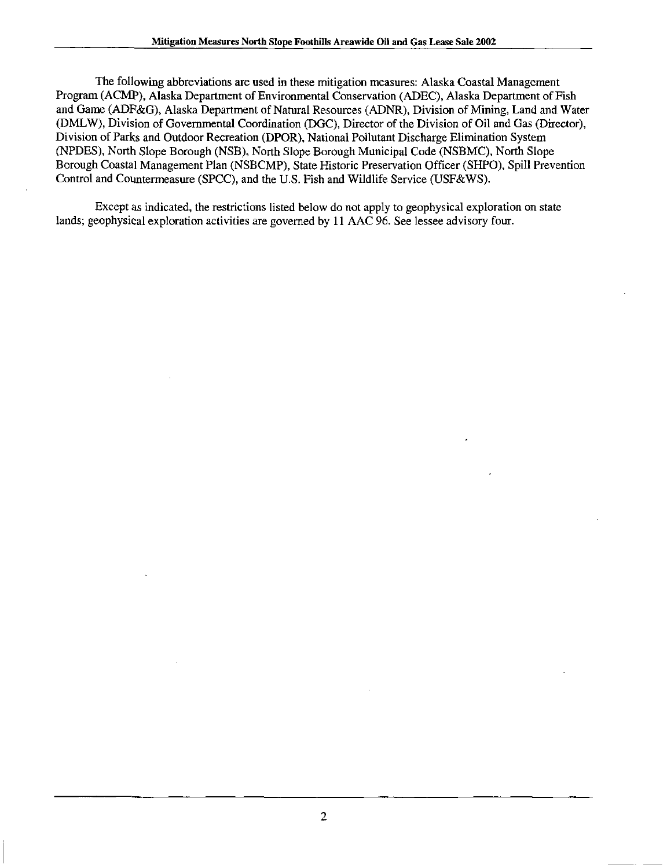The following abbreviations are used in these mitigation measures: Alaska Coastal Management Program (ACMP), Alaska Department of Environmental Conservation (ADEC), Alaska Department of Fish and Game (ADF&G), Alaska Department of Natural Resources (ADNR), Division of Mining, Land and Water (DMLW), Division of Governmental Coordination (DGC), Director of the Division of Oil and Gas (Director), Division of Parks and Outdoor Recreation (DPOR), National Pollutant Discharge Elimination System (NPDES), North Slope Borough (NSB), North Slope Borough Municipal Code (NSBMC), North Slope Borough Coastal Management Plan (NSBCMP), State Historic Preservation Officer (SHPO), Spill Prevention Control and Countermeasure (SPCC), and the U.S. Fish and Wildlife Service (USF&WS).

Except as indicated, the restrictions listed below do not apply to geophysical exploration on state lands; geophysical exploration activities are governed by 11 AAC 96. See lessee advisory four.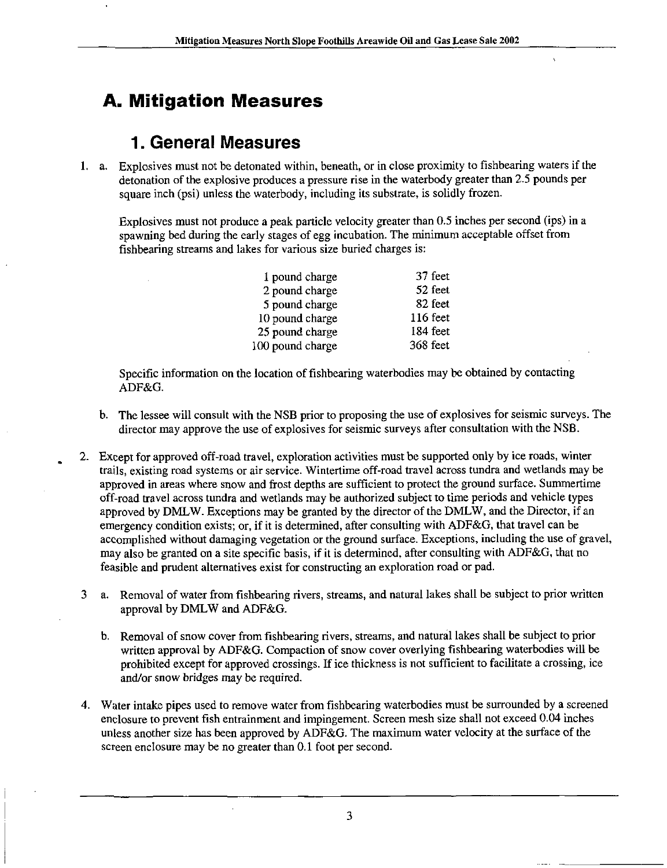# A. Mitigation Measures

#### 1. General Measures

1. a. Explosives must not be detonated within, beneath, or in close proximity to fishbearing waters if the detonation of the explosive produces a pressure rise in the waterbody greater than 2.5 pounds per square inch (psi) unless the waterbody, including its substrate, is solidly frozen.

Explosives must not produce a peak particle velocity greater than 0.5 inches per second (ips) in a spawning bed during the early stages of egg incubation. The minimum acceptable offset from fishbearing streams and lakes for various size buried charges is:

| 1 pound charge   | 37 feet    |
|------------------|------------|
| 2 pound charge   | 52 feet    |
| 5 pound charge   | 82 feet    |
| 10 pound charge  | $116$ feet |
| 25 pound charge  | 184 feet   |
| 100 pound charge | 368 feet   |
|                  |            |

Specific information on the location of fishbearing waterbodies may be obtained by contacting ADF&G.

- b. The lessee will consult with the NSB prior to proposing the use of explosives for seismic surveys. The director may approve the use of explosives for seismic surveys after consultation with the NSB.
- 2. Except for approved off-road travel, exploration activities must be supported only by ice roads, winter trails, existing road systems or air service. Wintertime off-road travel across tundra and wetlands may be approved in areas where snow and frost depths are sufficient to protect the ground surface. Summertime off-road travel across tundra and wetlands may be authorized subject to time periods and vehicle types approved by DMLW. Exceptions may be granted by the director of the DMLW, and the Director, if an emergency condition exists; or, if it is determined, after consulting with ADF&G, that travel can be accomplished without damaging vegetation or the ground surface. Exceptions, including the use of gravel, may also be granted on a site specific basis, if it is determined, after consulting with ADF&G, that no feasible and prudent alternatives exist for constructing an exploration road or pad.
- 3 a. Removal of water from fishbearing rivers, streams, and natural lakes shall be subject to prior written approval by DMLW and ADF&G.
	- b. Removal of snow cover from fishbearing rivers, streams, and natural lakes shall be subject to prior written approval by ADF&G. Compaction of snow cover overlying fishbearing waterbodies will be prohibited except for approved crossings. If ice thickness is not sufficient to facilitate a crossing, ice and/or snow bridges may be required.
- 4. Water intake pipes used to remove water from fishbearing waterbodies must be surrounded by a screened enclosure to prevent fish entrainment and impingement. Screen mesh size shall not exceed 0.04 inches unless another size has been approved by ADF&G. The maximum water velocity at the surface of the screen enclosure may be no greater than 0.1 foot per second.

3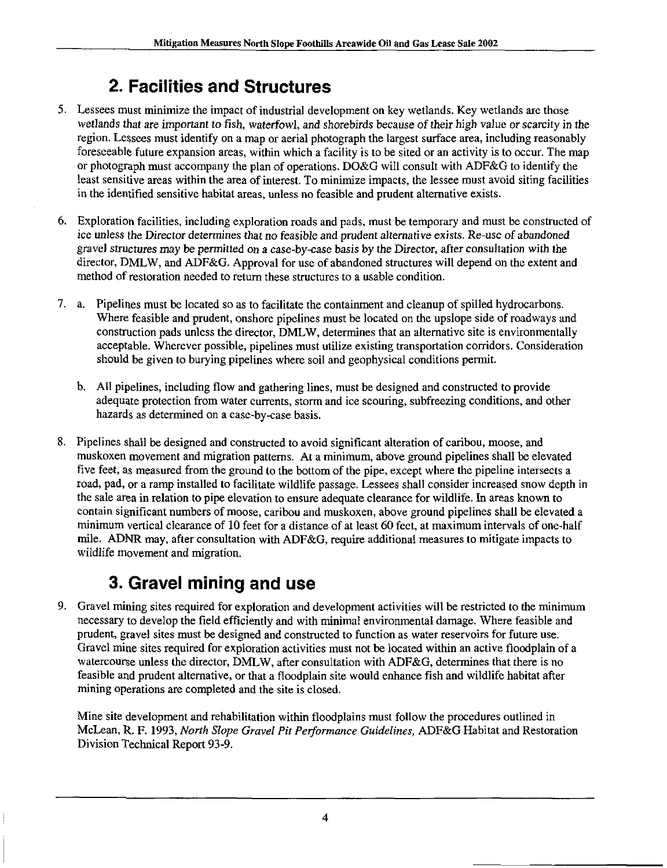# 2. Facilities and Structures

- 5. Lessees must minimize the impact of industrial development on key wetlands. Key wetlands are those wetlands that are important to fish, waterfowl, and shorebirds because of their high value or scarcity in the region. Lessees must identify on a map or aerial photograph the largest surface area, including reasonably foreseeable future expansion areas, within which a facility is to be sited or an activity is to occur. The map or photograph must accompany the plan of operations. DO&G will consult with ADF&G to identify the least sensitive areas within the area of interest. To minimize impacts, the lessee must avoid siting facilities in the identified sensitive habitat areas, unless no feasible and prudent altemative exists.
- 6. Exploration facilities, including exploration roads and pads, must be temporary and must be constructed of ice unless the Director determines that no feasible and prudent alternative exists. Re-use of abandoned gravel structures may be permitted on a case-by-case basis by the Director, after consultation with the director, DMLW, and ADF&G. Approval for use of abandoned structures will depend on the extent and method of restoration needed to return these structures to a usable condition.
- 7. a. Pipelines must be located so as to facilitate the containment and cleanup of spilled hydrocarbons. Where feasible and prudent, onshore pipelines must be located on the upslope side of roadways and construction pads unless the director, DMLW, determines that an altemative site is environmentally acceptable. Wherever possible, pipelines must utilize existing transportation corridors. Consideration should be given to burying pipelines where soil and geophysical conditions permit.
	- b. All pipelines, including flow and gathering lines, must be designed and constructed to provide adequate protection from water currents, storm and ice scouring, subfreezing conditions, and other hazards as determined on a case-by-case basis.
- 8. Pipelines shall be designed and constructed to avoid significant alteration of caribou, moose, and muskoxen movement and migration patterns. At a minimum, above ground pipelines shall be elevated five feet, as measured from the ground to the bottom of the pipe, except where the pipeline intersects a road, pad, or a ramp installed to facilitate wildlife passage. Lessees shall consider increased snow depth in the sale area in relation to pipe elevation to ensure adequate clearance for wildlife. In areas known to contain significant numbers of moose, caribou and muskoxen, above ground pipelines shall be elevated a minimum vertical clearance of 10 feet for a distance of at least 60 feet, at maximum intervals of one-half mile. ADNR may, after consultation with ADF&G, require additional measures to mitigate impacts to wildlife movement and migration.

# 3. Gravel mining and use

9. Gravel mining sites required for exploration and development activities will be restricted to the minimum necessary to develop the field efficiently and with minimal environmental damage. Where feasible and prudent, gravel sites must be designed and constructed to function as water reservoirs for future use. Gravel mine sites required for exploration activities must not be located within an active floodplain of a watercourse unless the director, DMLW, after consultation with ADF&G, determines that there is no feasible and prudent altemative, or that a floodplain site would enhance fish and wildlife habitat after mining operations are completed and the site is closed.

Mine site development and rehabilitation within floodplains must follow the procedures outlined in McLean, R. F. 1993, North Slope Gravel Pit Performance Guidelines, ADF&G Habitat and Restoration Division Technical Report 93-9.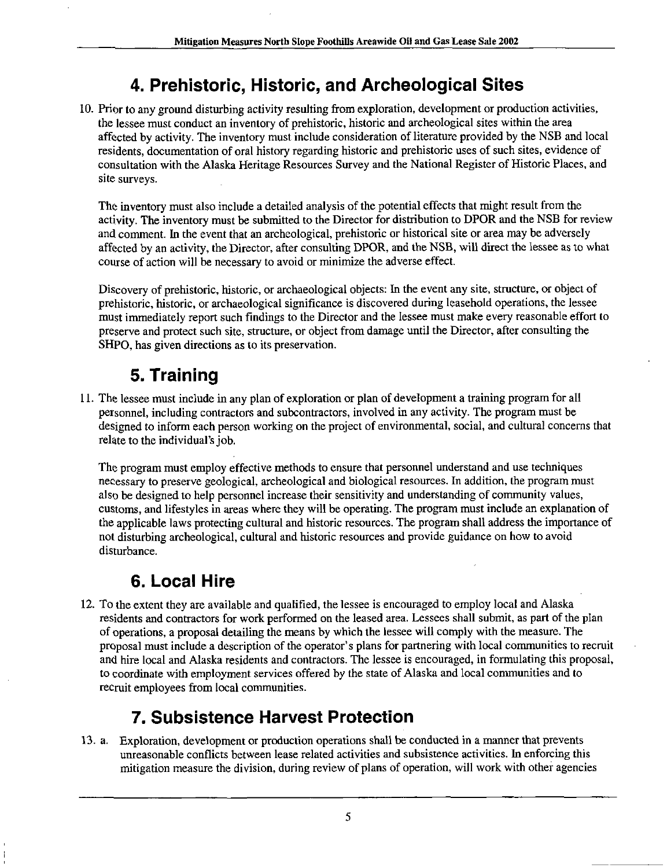# 4. Prehistoric, Historic, and Archeological Sites

10. Prior to any ground disturbing activity resulting from exploration, development or production activities, the lessee must conduct an inventory of prehistoric, historic and archeological sites within the area affected by activity. The inventory must include consideration of literature provided by the NSB and local residents, documentation of oral history regarding historic and prehistoric uses of such sites, evidence of consultation with the Alaska Heritage Resources Survey and the National Register of Historic Places, and site surveys.

The inventory must also include a detailed analysis of the potential effects that might result from the activity. The inventory must be submitted to the Director for distribution to DPOR and the NSB for review and comment. In the event that an archeological, prehistoric or historical site or area may be adversely affected by an activity, the Director, after consulting DPOR, and the NSB, will direct the lessee as to what course of action will be necessary to avoid or minimize the adverse effect.

Discovery of prehistoric, historic, or archaeological objects: In the event any site, structure, or object of prehistoric, historic, or archaeological significance is discovered during leasehold operations, the lessee must immediately report such findings to the Director and the lessee must make every reasonable effort to preserve and protect such site, structure, or object from damage until the Director, after consulting the SHPO, has given directions as to its preservation.

# 5. Training

11. The lessee must include in any plan of exploration or plan of development a training program for all personnel, including contractors and subcontractors, involved in any activity. The program must be designed to inform each person working on the project of environmental, social, and cultural concerns that relate to the individual's job.

The program must employ effective methods to ensure that personnel understand and use techniques necessary to preserve geological, archeological and biological resources. In addition, the program must also be designed to help personnel increase their sensitivity and understanding of community values, customs, and lifestyles in areas where they will be operating. The program must include an explanation of the applicable laws protecting cultural and historic resources. The program shall address the importance of not disturbing archeological, cultural and historic resources and provide guidance on how to avoid disturbance.

### 6. Local Hire

12. To the extent they are available and qualified, the lessee is encouraged to employ local and Alaska residents and contractors for work performed on the leased area. Lessees shall submit, as part of the plan of operations, a proposal detailing the means by which the lessee will comply with the measure. The proposal must include a description of the operator's plans for partnering with local communities to recruit and hire local and Alaska residents and contractors. The lessee is encouraged, in formulating this proposal, to coordinate with employment services offered by the state of Alaska and local communities and to recruit employees from local communities.

### 7. Subsistence Harvest Protection

13. a. Exploration, development or production operations shall be conducted in a manner that prevents unreasonable conflicts between lease related activities and subsistence activities. In enforcing this mitigation measure the division, during review of plans of operation, will work with other agencies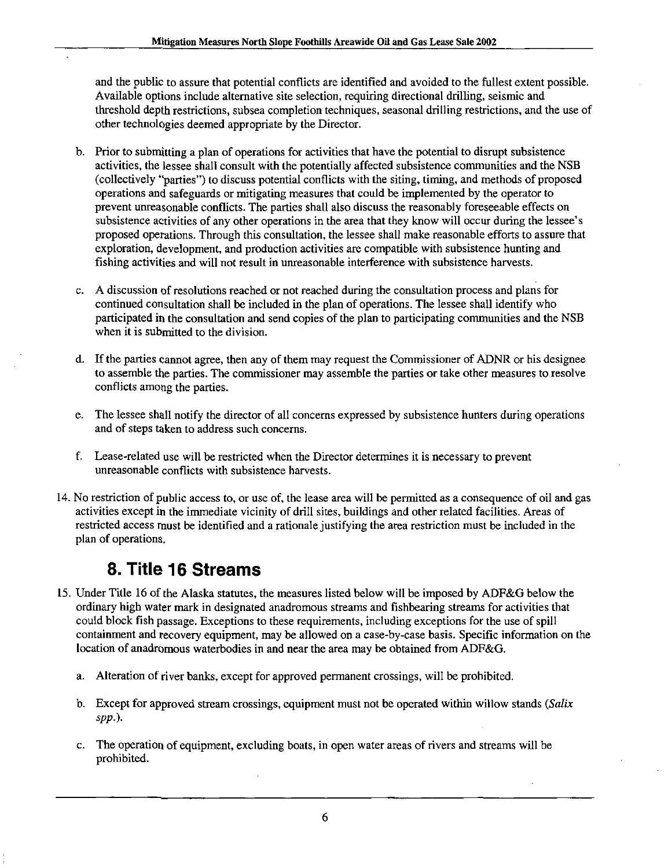and the public to assure that potential conflicts are identified and avoided to the fullest extent possible. Available options include altemative site selection, requiring directional drilling, seismic and threshold depth restrictions, subsea completion techniques, seasonal drilling restrictions, and the use of other technologies deemed appropriate by the Director.

- b. Prior to submitting a plan of operations for activities that have the potential to disrupt subsistence activities, the lessee shall consult with the potentially affected subsistence communities and the NSB (collectively "parties") to discuss potential conflicts with the siting, timing, and methods of proposed operations and safeguards or mitigating measures that could be implemented by the operator to prevent unreasonable conflicts. The parties shall also discuss the reasonably foreseeable effects on subsistence activities of any other operations in the area that they know will occur during the lessee's proposed operations. Through this consultation, the lessee shall make reasonable efforts to assure that exploration, development, and production activities are compatible with subsistence hunting and fishing activities and will not result in unreasonable interference with subsistence harvests.
- c. A discussion of resolutions reached or not reached during the consultation process and plans for continued consultation shall be included in the plan of operations. The lessee shall identify who participated in the consultation and send copies of the plan to participating communities and the NSB when it is submitted to the division.
- d. If the parties cannot agree, then any of them may request the Commissioner of ADNR or his designee to assemble the parties. The commissioner may assemble the parties or take other measures to resolve conflicts among the parties.
- e. The lessee shall notify the director of all concerns expressed by subsistence hunters during operations and of steps taken to address such concerns.
- f. Lease-related use will be restricted when the Director determines it is necessary to prevent unreasonable conflicts with subsistence harvests.
- 14. No restriction of public access to, or use of, the lease area will be permitted as a consequence of oil and gas activities except in the immediate vicinity of drill sites, buildings and other related facilities. Areas of restricted access must be identified and a rationale justifying the area restriction must be included in the plan of operations.

### 8. Title 16 Streams

- 15. Under Title 16 of the Alaska statutes, the measures listed below will be imposed by ADF&G below the ordinary high water mark in designated anadromous streams and fishbearing streams for activities that could block fish passage. Exceptions to these requirements, including exceptions for the use of spill containment and recovery equipment, may be allowed on a case-by-case basis. Specific information on the location of anadromous waterbodies in and near the area may be obtained from ADF&G.
	- a. Alteration of river banks, except for approved permanent crossings, will be prohibited.
	- b. Except for approved stream crossings, equipment must not be operated within willow stands (Salix spp.).
	- c. The operation of equipment, excluding boats, in open water areas of rivers and streams will be prohibited.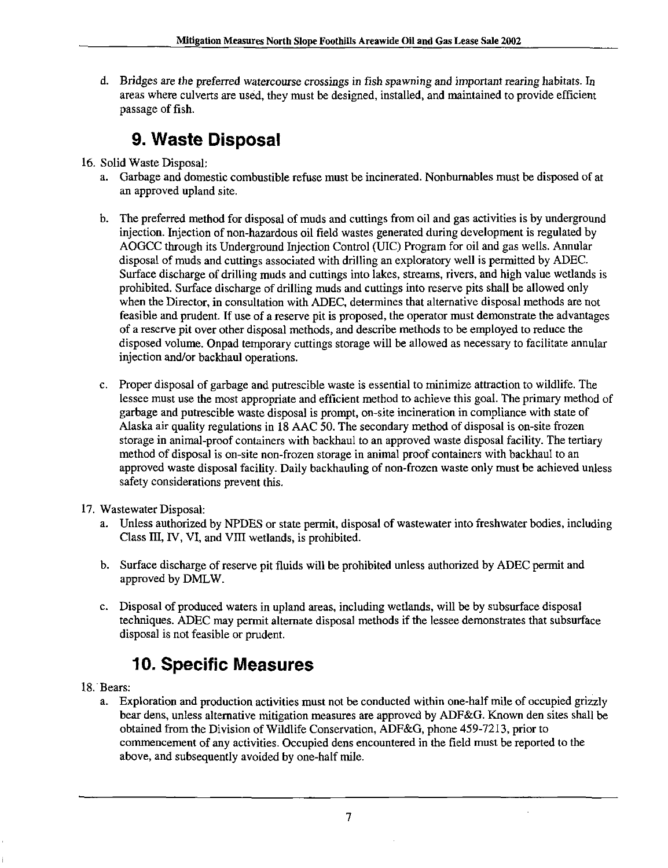d. Bridges are the preferred watercourse crossings in fish spawning and important rearing habitats. In areas where culverts are used, they must be designed, installed, and maintained to provide efficient passage of fish.

# 9. Waste Disposal

- 16. Solid Waste Disposal:
	- a. Garbage and domestic combustible refuse must be incinerated. Nonbumables must be disposed of at an approved upland site.
	- b. The preferred method for disposal of muds and cuttings from oil and gas activities is by underground injection. Injection of non-hazardous oil field wastes generated during development is regulated by AOGCC through its Underground Injection Control (UIC) Program for oil and gas wells. Annular disposal of muds and cuttings associated with drilling an exploratory well is permitted by ADEC. Surface discharge of drilling muds and cuttings into lakes, streams, rivers, and high value wetiands is prohibited. Surface discharge of drilling muds and cuttings into reserve pits shall be allowed only when the Director, in consultation with ADEC, determines that alternative disposal methods are not feasible and prudent. If use of a reserve pit is proposed, the operator must demonstrate the advantages of a reserve pit over other disposal methods, and describe methods to be employed to reduce the disposed volume. Onpad temporary cuttings storage will be allowed as necessary to facilitate annular injection and/or backhaul operations.
	- c. Proper disposal of garbage and putrescible waste is essential to minimize attraction to wildlife. The lessee must use the most appropriate and efficient method to achieve this goal. The primary method of garbage and putrescible waste disposal is prompt, on-site incineration in compliance with state of Alaska air quality regulations in 18 AAC 50. The secondary method of disposal is on-site frozen storage in animal-proof containers with backhaul to an approved waste disposal facility. The tertiary method of disposal is on-site non-frozen storage in animal proof containers with backhaul to an approved waste disposal facility. Daily backhauling of non-frozen waste only must be achieved unless safety considerations prevent this.
- 17. Wastewater Disposal:
	- a. Unless authorized by NPDES or state permit, disposal of wastewater into freshwater bodies, including Class III, IV, VI, and VIII wetlands, is prohibited.
	- b. Surface discharge of reserve pit fluids will be prohibited unless authorized by ADEC permit and approved by DMLW.
	- c. Disposal of produced waters in upland areas, including wetlands, will be by subsurface disposal techniques. ADEC may permit alternate disposal methods if the lessee demonstrates that subsurface disposal is not feasible or prudent.

### 10. Specific Measures

- 18. Bears:
	- a. Exploration and production activities must not be conducted within one-half mile of occupied grizzly bear dens, unless altemative mitigation measures are approved by ADF&G. Known den sites shall be obtained from the Division of Wildlife Conservation, ADF&G, phone 459-7213, prior to commencement of any activities. Occupied dens encountered in the field must be reported to the above, and subsequently avoided by one-half mile.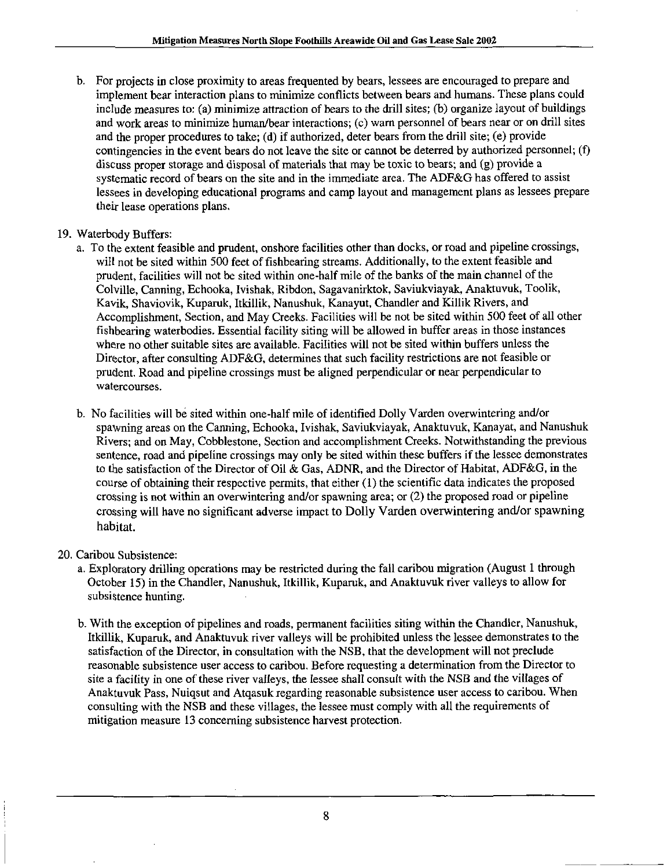b. For projects in close proximity to areas frequented by bears, lessees are encouraged to prepare and implement bear interaction plans to minimize conflicts between bears and humans. These plans could include measures to: (a) minimize attraction of bears to the drill sites; (b) organize layout of buildings and work areas to minimize human/bear interactions; (c) warn personnel of bears near or on drill sites and the proper procedures to take; (d) if authorized, deter bears from the drill site; (e) provide contingencies in the event bears do not leave the site or cannot be deterred by authorized personnel; (f) discuss proper storage and disposal of materials that may be toxic to bears; and (g) provide a systematic record of bears on the site and in the immediate area. The ADF&G has offered to assist lessees in developing educational programs and camp layout and management plans as lessees prepare their lease operations plans.

#### 19. Waterbody Buffers:

- a. To the extent feasible and prudent, onshore facilities other than docks, or road and pipeline crossings, will not be sited within 500 feet of fishbearing streams. Additionally, to the extent feasible and prudent, facilities will not be sited within one-half mile of the banks of the main channel of the Colville, Canning, Echooka, Ivishak, Ribdon, Sagavanirktok, Saviukviayak, Anaktuvuk, Toolik, Kavik, Shaviovik, Kuparuk, Itkillik, Nanushuk, Kanayut, Chandler and Killik Rivers, and Accomplishment, Section, and May Creeks. Facilities will be not be sited within 500 feet of all other fishbearing waterbodies. Essential facility siting will be allowed in buffer areas in those instances where no other suitable sites are available. Facilities will not be sited within buffers unless the Director, after consulting ADF&G, determines that such facility restrictions are not feasible or prudent. Road and pipeline crossings must be aligned perpendicular or near perpendicular to watercourses.
- b. No facilities will be sited within one-half mile of identified Dolly Varden overwintering and/or spawning areas on the Canning, Echooka, Ivishak, Saviukviayak, Anaktuvuk, Kanayat, and Nanushuk Rivers; and on May, Cobblestone, Section and accomplishment Creeks. Notwithstanding the previous sentence, road and pipeline crossings may only be sited within these buffers if the lessee demonstrates to the satisfaction of the Director of Oil & Gas, ADNR, and the Durector of Habitat, ADF&G, in the course of obtaining their respective permits, that either (1) the scientific data indicates the proposed crossing is not within an overwintering and/or spawning area; or (2) the proposed road or pipeline crossing will have no significant adverse impact to Dolly Varden overwintering and/or spawning habitat.
- 20. Caribou Subsistence:
	- a. Exploratory drilling operations may be restricted during the fall caribou migration (August 1 through October 15) in the Chandler, Nanushuk, Itkillik, Kuparuk, and Anaktuvuk river valleys to allow for subsistence hunting.
	- b. With the exception of pipelines and roads, permanent facilities siting within the Chandler, Nanushuk, Itkillik, Kuparuk, and Anaktuvuk river valleys will be prohibited unless the lessee demonstrates to the satisfaction of the Director, in consultation with the NSB, that the development will not preclude reasonable subsistence user access to caribou. Before requesting a determination from the Director to site a facility in one of these river valleys, the lessee shall consult with the NSB and the villages of Anaktuvuk Pass, Nuiqsut and Atqasuk regarding reasonable subsistence user access to caribou. When consulting with the NSB and these villages, the lessee must comply with all the requirements of mitigation measure 13 concerning subsistence harvest protection.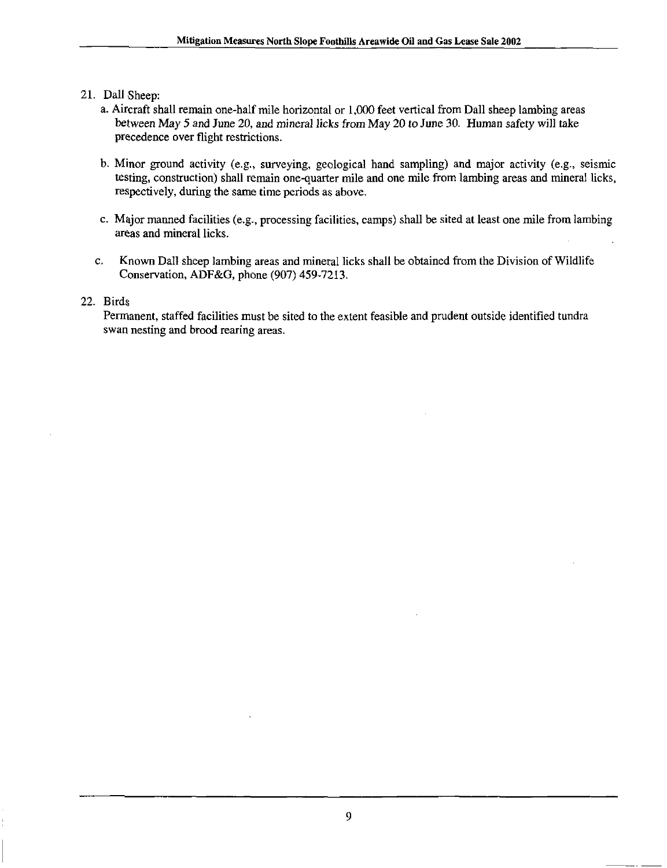- 21. Dall Sheep:
	- a. Aircraft shall remain one-half mile horizontal or 1,000 feet vertical from Dall sheep lambing areas between May 5 and June 20, and mineral licks from May 20 to June 30. Human safety will take precedence over flight restrictions.
	- b. Minor ground activity (e.g., surveying, geological hand sampling) and major activity (e.g., seismic testing, construction) shall remain one-quarter mile and one mile from lambing areas and mineral licks, respectively, during the same time periods as above.
	- c. Major manned facilities (e.g., processing facilities, camps) shall be sited at least one mile from lambing areas and mineral licks.
	- c. Known Dall sheep lambing areas and mineral licks shall be obtained from the Division of Wildlife Conservation, ADF&G, phone (907) 459-7213.

#### 22. Birds

Permanent, staffed facilities must be sited to the extent feasible and prudent outside identified tundra swan nesting and brood rearing areas.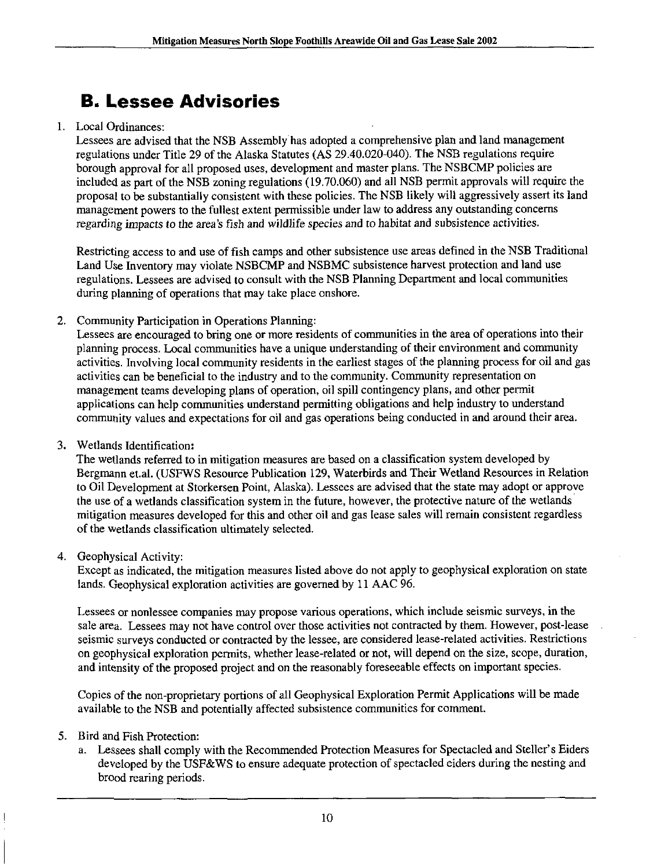# B. Lessee Advisories

#### 1. Local Ordinances:

Lessees are advised that the NSB Assembly has adopted a comprehensive plan and land management regulations under Titie 29 of the Alaska Statutes (AS 29.40.020-040). The NSB regulations require borough approval for all proposed uses, development and master plans. The NSBCMP policies are included as part of the NSB zoning regulations (19.70.060) and all NSB permit approvals will require the proposal to be substantially consistent with these policies. The NSB likely will aggressively assert its land management powers to the fullest extent permissible under law to address any outstanding concerns regarding impacts to the area's fish and wildlife species and to habitat and subsistence activities.

Restricting access to and use of fish camps and other subsistence use areas defined in the NSB Traditional Land Use Inventory may violate NSBCMP and NSBMC subsistence harvest protection and land use regulations. Lessees are advised to consult with the NSB Planning Department and local communities during planning of operations that may take place onshore.

2. Community Participation in Operations Planning;

Lessees are encouraged to bring one or more residents of communities in the area of operations into their planning process. Local communities have a unique understanding of their environment and community activities. Involving local community residents in the earhest stages of the planning process for oil and gas activities can be beneficial to the industry and to the community. Community representation on management teams developing plans of operation, oil spill contingency plans, and other permit applications can help communities understand permitting obligations and help industry to understand community values and expectations for oil and gas operations being conducted in and around their area.

3. Wetiands Identification:

The wetlands referred to in mitigation measures are based on a classification system developed by Bergmann et.al. (USFWS Resource Publication 129, Waterbirds and Their Wetland Resources in Relation to Oil Development at Storkersen Point, Alaska). Lessees are advised that the state may adopt or approve the use of a wetlands classification system in the future, however, the protective nature of the wetlands mitigation measures developed for this and other oil and gas lease sales will remain consistent regardless of the wetiands classification ultimately selected.

4. Geophysical Activity:

Except as indicated, the mitigation measures listed above do not apply to geophysical exploration on state lands. Geophysical exploration activities are governed by 11 AAC 96.

Lessees or nonlessee companies may propose various operations, which include seismic surveys, in the sale area. Lessees may not have control over those activities not contracted by them. However, post-lease seismic surveys conducted or contracted by the lessee, are considered lease-related activities. Restrictions on geophysical exploration permits, whether lease-related or not, will depend on the size, scope, duration, and intensity of the proposed project and on the reasonably foreseeable effects on important species.

Copies of the non-proprietary portions of all Geophysical Exploration Permit Applications will be made available to the NSB and potentially affected subsistence communities for comment.

- 5. Bird and Fish Protection:
	- a. Lessees shall comply with the Recommended Protection Measures for Spectacled and Steller's Eiders developed by the USF&WS to ensure adequate protection of spectacled eiders during the nesting and brood rearing periods.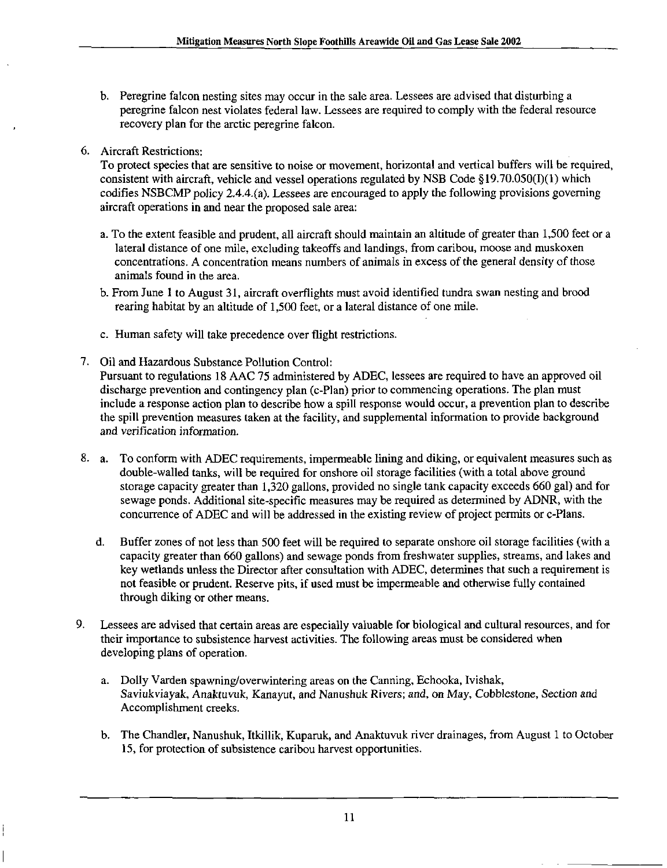- b. Peregrine falcon nesting sites may occur in the sale area. Lessees are advised that disturbing a peregrine falcon nest violates federal law. Lessees are required to comply with the federal resource recovery plan for the arctic peregrine falcon.
- 6. Aircraft Restrictions:

To protect species that are sensitive to noise or movement, horizontal and vertical buffers will be required, consistent with aircraft, vehicle and vessel operations regulated by NSB Code § 19.70.050(I)(1) which codifies NSBCMP policy 2.4.4.(a). Lessees are encouraged to apply the following provisions governing aircraft operations in and near the proposed sale area:

- a. To the extent feasible and prudent, all aircraft should maintain an altitude of greater than 1,500 feet or a lateral distance of one mile, excluding takeoffs and landings, from caribou, moose and muskoxen concentrations. A concentration means numbers of animals inexcessof the general density of those animals found in the area.
- b. From June 1 to August 31, aircraft overflights must avoid identified tundra swan nesting and brood rearing habitat by an altitude of 1,500 feet, or a lateral distance of one mile.
- c. Human safety will take precedence over flight restrictions.
- 7. Oil and Hazardous Substance Pollution Control: Pursuant to regulations 18 AAC 75 administered by ADEC, lessees are requhed to have an approved oil discharge prevention and contingency plan (c-Plan) prior to commencing operations. The plan must include a response action plan to describe how a spill response would occur, a prevention plan to describe the spill prevention measures taken at the facility, and supplemental information to provide background and verification information.
- 8. a. To conform with ADEC requirements, impermeable lining and diking, or equivalent measures such as double-walled tanks, will be required for onshore oil storage facilities (with a total above ground storage capacity greater than  $1,320$  gallons, provided no single tank capacity exceeds 660 gal) and for sewage ponds. Additional site-specific measures may be required as determined by ADNR, with the concurrence of ADEC and will be addressed in the existing review of project permits or c-Plans.
	- d. Buffer zones of not less than 500 feet will be required to separate onshore oil storage facilities (with a capacity greater than 660 gallons) and sewage ponds from freshwater supplies, streams, and lakes and key wetlands unless the Director after consultation with ADEC, determines that such a requirement is not feasible or prudent. Reserve pits, if used must be impermeable and otherwise fully contained through diking or other means.
- 9. Lessees are advised that certain areas are especially valuable for biological and cultural resources, and for their importance to subsistence harvest activities. The following areas must be considered when developing plans of operation.
	- a. Dolly Varden spawning/overwintering areas on the Canning, Echooka, Ivishak, Saviukviayak, Anaktuvuk, Kanayut, and Nanushuk Rivers; and, on May, Cobblestone, Section and Accomplishment creeks.
	- b. The Chandler, Nanushuk, Itkillik, Kuparuk, and Anaktuvuk river drainages, from August 1 to October 15, for protection of subsistence caribou harvest opportunities.